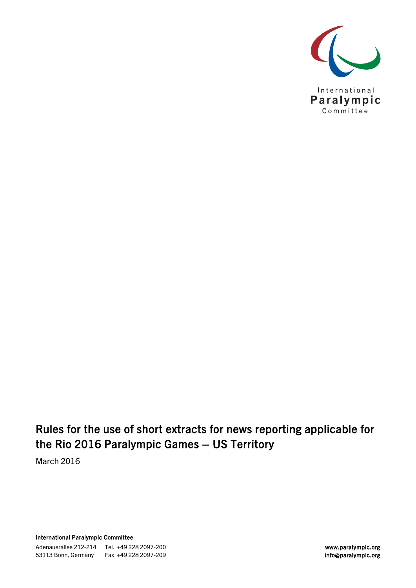

### Rules for the use of short extracts for news reporting applicable for the Rio 2016 Paralympic Games – US Territory

March 2016

International Paralympic Committee

Adenauerallee 212-214 Tel. +49 228 2097-200 53113 Bonn, Germany Fax +49 228 2097-209 and the state of the state of the state of the info@paralympic.org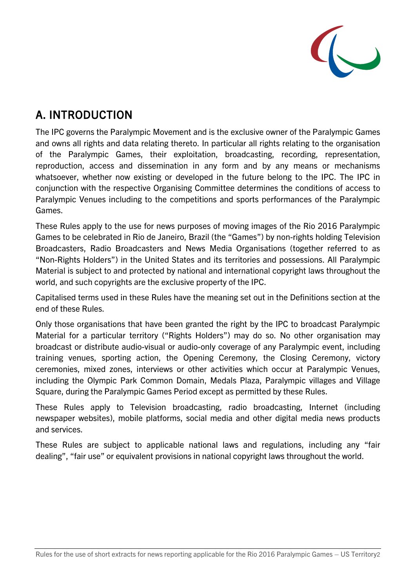

# A. INTRODUCTION

The IPC governs the Paralympic Movement and is the exclusive owner of the Paralympic Games and owns all rights and data relating thereto. In particular all rights relating to the organisation of the Paralympic Games, their exploitation, broadcasting, recording, representation, reproduction, access and dissemination in any form and by any means or mechanisms whatsoever, whether now existing or developed in the future belong to the IPC. The IPC in conjunction with the respective Organising Committee determines the conditions of access to Paralympic Venues including to the competitions and sports performances of the Paralympic Games.

These Rules apply to the use for news purposes of moving images of the Rio 2016 Paralympic Games to be celebrated in Rio de Janeiro, Brazil (the "Games") by non-rights holding Television Broadcasters, Radio Broadcasters and News Media Organisations (together referred to as "Non-Rights Holders") in the United States and its territories and possessions. All Paralympic Material is subject to and protected by national and international copyright laws throughout the world, and such copyrights are the exclusive property of the IPC.

Capitalised terms used in these Rules have the meaning set out in the Definitions section at the end of these Rules.

Only those organisations that have been granted the right by the IPC to broadcast Paralympic Material for a particular territory ("Rights Holders") may do so. No other organisation may broadcast or distribute audio-visual or audio-only coverage of any Paralympic event, including training venues, sporting action, the Opening Ceremony, the Closing Ceremony, victory ceremonies, mixed zones, interviews or other activities which occur at Paralympic Venues, including the Olympic Park Common Domain, Medals Plaza, Paralympic villages and Village Square, during the Paralympic Games Period except as permitted by these Rules.

These Rules apply to Television broadcasting, radio broadcasting, Internet (including newspaper websites), mobile platforms, social media and other digital media news products and services.

These Rules are subject to applicable national laws and regulations, including any "fair dealing", "fair use" or equivalent provisions in national copyright laws throughout the world.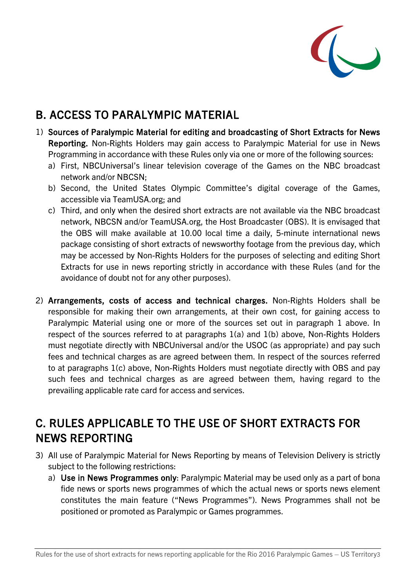

# B. ACCESS TO PARALYMPIC MATERIAL

- 1) Sources of Paralympic Material for editing and broadcasting of Short Extracts for News Reporting. Non-Rights Holders may gain access to Paralympic Material for use in News Programming in accordance with these Rules only via one or more of the following sources:
	- a) First, NBCUniversal's linear television coverage of the Games on the NBC broadcast network and/or NBCSN;
	- b) Second, the United States Olympic Committee's digital coverage of the Games, accessible via TeamUSA.org; and
	- c) Third, and only when the desired short extracts are not available via the NBC broadcast network, NBCSN and/or TeamUSA.org, the Host Broadcaster (OBS). It is envisaged that the OBS will make available at 10.00 local time a daily, 5-minute international news package consisting of short extracts of newsworthy footage from the previous day, which may be accessed by Non-Rights Holders for the purposes of selecting and editing Short Extracts for use in news reporting strictly in accordance with these Rules (and for the avoidance of doubt not for any other purposes).
- 2) Arrangements, costs of access and technical charges. Non-Rights Holders shall be responsible for making their own arrangements, at their own cost, for gaining access to Paralympic Material using one or more of the sources set out in paragraph 1 above. In respect of the sources referred to at paragraphs 1(a) and 1(b) above, Non-Rights Holders must negotiate directly with NBCUniversal and/or the USOC (as appropriate) and pay such fees and technical charges as are agreed between them. In respect of the sources referred to at paragraphs 1(c) above, Non-Rights Holders must negotiate directly with OBS and pay such fees and technical charges as are agreed between them, having regard to the prevailing applicable rate card for access and services.

### C. RULES APPLICABLE TO THE USE OF SHORT EXTRACTS FOR NEWS REPORTING

- 3) All use of Paralympic Material for News Reporting by means of Television Delivery is strictly subject to the following restrictions:
	- a) Use in News Programmes only: Paralympic Material may be used only as a part of bona fide news or sports news programmes of which the actual news or sports news element constitutes the main feature ("News Programmes"). News Programmes shall not be positioned or promoted as Paralympic or Games programmes.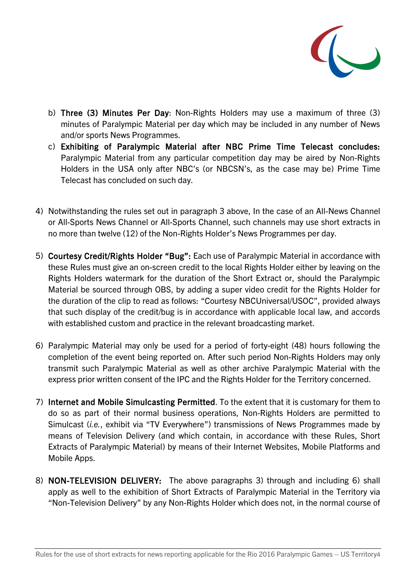

- b) Three (3) Minutes Per Day: Non-Rights Holders may use a maximum of three (3) minutes of Paralympic Material per day which may be included in any number of News and/or sports News Programmes.
- c) Exhibiting of Paralympic Material after NBC Prime Time Telecast concludes: Paralympic Material from any particular competition day may be aired by Non-Rights Holders in the USA only after NBC's (or NBCSN's, as the case may be) Prime Time Telecast has concluded on such day.
- 4) Notwithstanding the rules set out in paragraph 3 above, In the case of an All-News Channel or All-Sports News Channel or All-Sports Channel, such channels may use short extracts in no more than twelve (12) of the Non-Rights Holder's News Programmes per day.
- 5) Courtesy Credit/Rights Holder "Bug": Each use of Paralympic Material in accordance with these Rules must give an on-screen credit to the local Rights Holder either by leaving on the Rights Holders watermark for the duration of the Short Extract or, should the Paralympic Material be sourced through OBS, by adding a super video credit for the Rights Holder for the duration of the clip to read as follows: "Courtesy NBCUniversal/USOC", provided always that such display of the credit/bug is in accordance with applicable local law, and accords with established custom and practice in the relevant broadcasting market.
- 6) Paralympic Material may only be used for a period of forty-eight (48) hours following the completion of the event being reported on. After such period Non-Rights Holders may only transmit such Paralympic Material as well as other archive Paralympic Material with the express prior written consent of the IPC and the Rights Holder for the Territory concerned.
- 7) Internet and Mobile Simulcasting Permitted. To the extent that it is customary for them to do so as part of their normal business operations, Non-Rights Holders are permitted to Simulcast (*i.e.*, exhibit via "TV Everywhere") transmissions of News Programmes made by means of Television Delivery (and which contain, in accordance with these Rules, Short Extracts of Paralympic Material) by means of their Internet Websites, Mobile Platforms and Mobile Apps.
- 8) NON-TELEVISION DELIVERY: The above paragraphs 3) through and including 6) shall apply as well to the exhibition of Short Extracts of Paralympic Material in the Territory via "Non-Television Delivery" by any Non-Rights Holder which does not, in the normal course of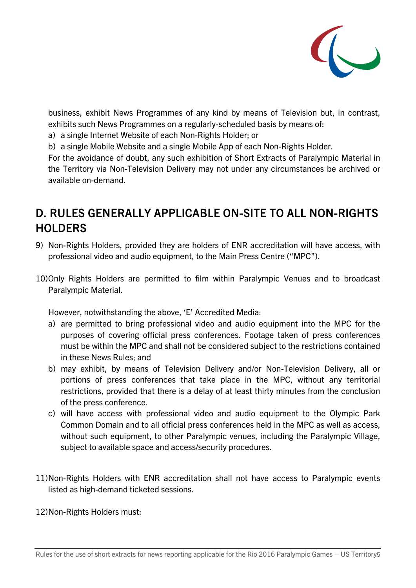

business, exhibit News Programmes of any kind by means of Television but, in contrast, exhibits such News Programmes on a regularly-scheduled basis by means of:

- a) a single Internet Website of each Non-Rights Holder; or
- b) a single Mobile Website and a single Mobile App of each Non-Rights Holder.

For the avoidance of doubt, any such exhibition of Short Extracts of Paralympic Material in the Territory via Non-Television Delivery may not under any circumstances be archived or available on-demand.

### D. RULES GENERALLY APPLICABLE ON-SITE TO ALL NON-RIGHTS **HOLDERS**

- 9) Non-Rights Holders, provided they are holders of ENR accreditation will have access, with professional video and audio equipment, to the Main Press Centre ("MPC").
- 10)Only Rights Holders are permitted to film within Paralympic Venues and to broadcast Paralympic Material.

However, notwithstanding the above, 'E' Accredited Media:

- a) are permitted to bring professional video and audio equipment into the MPC for the purposes of covering official press conferences. Footage taken of press conferences must be within the MPC and shall not be considered subject to the restrictions contained in these News Rules; and
- b) may exhibit, by means of Television Delivery and/or Non-Television Delivery, all or portions of press conferences that take place in the MPC, without any territorial restrictions, provided that there is a delay of at least thirty minutes from the conclusion of the press conference.
- c) will have access with professional video and audio equipment to the Olympic Park Common Domain and to all official press conferences held in the MPC as well as access, without such equipment, to other Paralympic venues, including the Paralympic Village, subject to available space and access/security procedures.
- 11)Non-Rights Holders with ENR accreditation shall not have access to Paralympic events listed as high-demand ticketed sessions.

12)Non-Rights Holders must: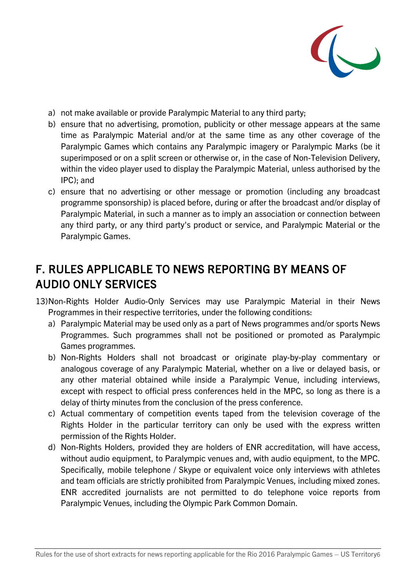

- a) not make available or provide Paralympic Material to any third party;
- b) ensure that no advertising, promotion, publicity or other message appears at the same time as Paralympic Material and/or at the same time as any other coverage of the Paralympic Games which contains any Paralympic imagery or Paralympic Marks (be it superimposed or on a split screen or otherwise or, in the case of Non-Television Delivery, within the video player used to display the Paralympic Material, unless authorised by the IPC); and
- c) ensure that no advertising or other message or promotion (including any broadcast programme sponsorship) is placed before, during or after the broadcast and/or display of Paralympic Material, in such a manner as to imply an association or connection between any third party, or any third party's product or service, and Paralympic Material or the Paralympic Games.

# F. RULES APPLICABLE TO NEWS REPORTING BY MEANS OF AUDIO ONLY SERVICES

- 13)Non-Rights Holder Audio-Only Services may use Paralympic Material in their News Programmes in their respective territories, under the following conditions:
	- a) Paralympic Material may be used only as a part of News programmes and/or sports News Programmes. Such programmes shall not be positioned or promoted as Paralympic Games programmes.
	- b) Non-Rights Holders shall not broadcast or originate play-by-play commentary or analogous coverage of any Paralympic Material, whether on a live or delayed basis, or any other material obtained while inside a Paralympic Venue, including interviews, except with respect to official press conferences held in the MPC, so long as there is a delay of thirty minutes from the conclusion of the press conference.
	- c) Actual commentary of competition events taped from the television coverage of the Rights Holder in the particular territory can only be used with the express written permission of the Rights Holder.
	- d) Non-Rights Holders, provided they are holders of ENR accreditation, will have access, without audio equipment, to Paralympic venues and, with audio equipment, to the MPC. Specifically, mobile telephone / Skype or equivalent voice only interviews with athletes and team officials are strictly prohibited from Paralympic Venues, including mixed zones. ENR accredited journalists are not permitted to do telephone voice reports from Paralympic Venues, including the Olympic Park Common Domain.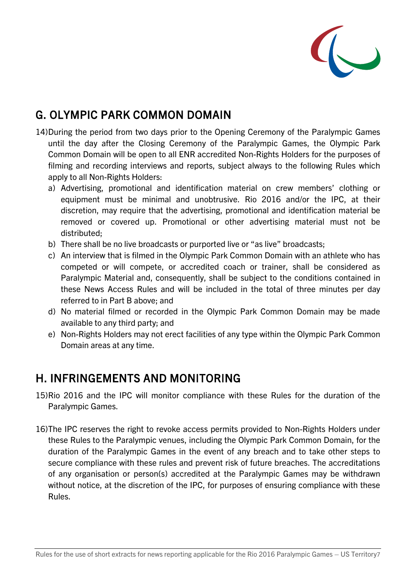

# G. OLYMPIC PARK COMMON DOMAIN

- 14)During the period from two days prior to the Opening Ceremony of the Paralympic Games until the day after the Closing Ceremony of the Paralympic Games, the Olympic Park Common Domain will be open to all ENR accredited Non-Rights Holders for the purposes of filming and recording interviews and reports, subject always to the following Rules which apply to all Non-Rights Holders:
	- a) Advertising, promotional and identification material on crew members' clothing or equipment must be minimal and unobtrusive. Rio 2016 and/or the IPC, at their discretion, may require that the advertising, promotional and identification material be removed or covered up. Promotional or other advertising material must not be distributed;
	- b) There shall be no live broadcasts or purported live or "as live" broadcasts;
	- c) An interview that is filmed in the Olympic Park Common Domain with an athlete who has competed or will compete, or accredited coach or trainer, shall be considered as Paralympic Material and, consequently, shall be subject to the conditions contained in these News Access Rules and will be included in the total of three minutes per day referred to in Part B above; and
	- d) No material filmed or recorded in the Olympic Park Common Domain may be made available to any third party; and
	- e) Non-Rights Holders may not erect facilities of any type within the Olympic Park Common Domain areas at any time.

#### H. INFRINGEMENTS AND MONITORING

- 15)Rio 2016 and the IPC will monitor compliance with these Rules for the duration of the Paralympic Games.
- 16)The IPC reserves the right to revoke access permits provided to Non-Rights Holders under these Rules to the Paralympic venues, including the Olympic Park Common Domain, for the duration of the Paralympic Games in the event of any breach and to take other steps to secure compliance with these rules and prevent risk of future breaches. The accreditations of any organisation or person(s) accredited at the Paralympic Games may be withdrawn without notice, at the discretion of the IPC, for purposes of ensuring compliance with these Rules.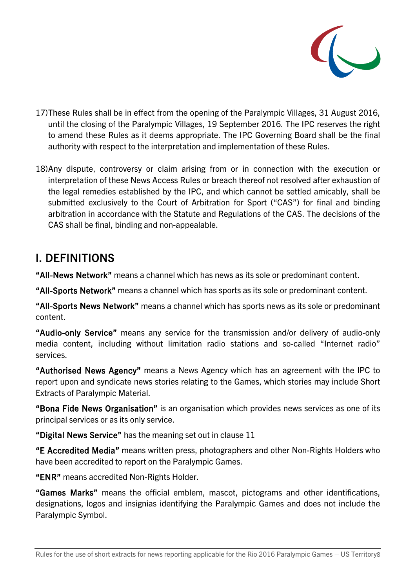

- 17)These Rules shall be in effect from the opening of the Paralympic Villages, 31 August 2016, until the closing of the Paralympic Villages, 19 September 2016. The IPC reserves the right to amend these Rules as it deems appropriate. The IPC Governing Board shall be the final authority with respect to the interpretation and implementation of these Rules.
- 18)Any dispute, controversy or claim arising from or in connection with the execution or interpretation of these News Access Rules or breach thereof not resolved after exhaustion of the legal remedies established by the IPC, and which cannot be settled amicably, shall be submitted exclusively to the Court of Arbitration for Sport ("CAS") for final and binding arbitration in accordance with the Statute and Regulations of the CAS. The decisions of the CAS shall be final, binding and non-appealable.

#### I. DEFINITIONS

"All-News Network" means a channel which has news as its sole or predominant content.

"All-Sports Network" means a channel which has sports as its sole or predominant content.

"All-Sports News Network" means a channel which has sports news as its sole or predominant content.

"Audio-only Service" means any service for the transmission and/or delivery of audio-only media content, including without limitation radio stations and so-called "Internet radio" services.

"Authorised News Agency" means a News Agency which has an agreement with the IPC to report upon and syndicate news stories relating to the Games, which stories may include Short Extracts of Paralympic Material.

"Bona Fide News Organisation" is an organisation which provides news services as one of its principal services or as its only service.

"Digital News Service" has the meaning set out in clause 11

"E Accredited Media" means written press, photographers and other Non-Rights Holders who have been accredited to report on the Paralympic Games.

"ENR" means accredited Non-Rights Holder.

"Games Marks" means the official emblem, mascot, pictograms and other identifications, designations, logos and insignias identifying the Paralympic Games and does not include the Paralympic Symbol.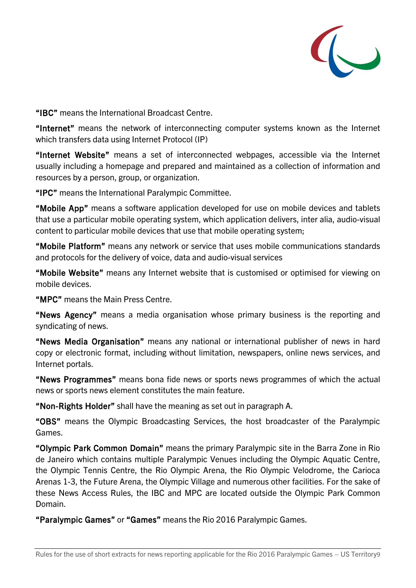

"IBC" means the International Broadcast Centre.

"Internet" means the network of interconnecting computer systems known as the Internet which transfers data using Internet Protocol (IP)

"Internet Website" means a set of interconnected webpages, accessible via the Internet usually including a homepage and prepared and maintained as a collection of information and resources by a person, group, or organization.

"IPC" means the International Paralympic Committee.

"Mobile App" means a software application developed for use on mobile devices and tablets that use a particular mobile operating system, which application delivers, inter alia, audio-visual content to particular mobile devices that use that mobile operating system;

"Mobile Platform" means any network or service that uses mobile communications standards and protocols for the delivery of voice, data and audio-visual services

"Mobile Website" means any Internet website that is customised or optimised for viewing on mobile devices.

"MPC" means the Main Press Centre.

"News Agency" means a media organisation whose primary business is the reporting and syndicating of news.

"News Media Organisation" means any national or international publisher of news in hard copy or electronic format, including without limitation, newspapers, online news services, and Internet portals.

"News Programmes" means bona fide news or sports news programmes of which the actual news or sports news element constitutes the main feature.

"Non-Rights Holder" shall have the meaning as set out in paragraph A.

"OBS" means the Olympic Broadcasting Services, the host broadcaster of the Paralympic Games.

"Olympic Park Common Domain" means the primary Paralympic site in the Barra Zone in Rio de Janeiro which contains multiple Paralympic Venues including the Olympic Aquatic Centre, the Olympic Tennis Centre, the Rio Olympic Arena, the Rio Olympic Velodrome, the Carioca Arenas 1-3, the Future Arena, the Olympic Village and numerous other facilities. For the sake of these News Access Rules, the IBC and MPC are located outside the Olympic Park Common Domain.

"Paralympic Games" or "Games" means the Rio 2016 Paralympic Games.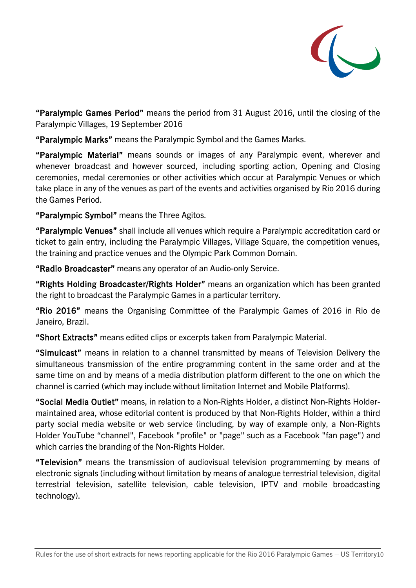

"Paralympic Games Period" means the period from 31 August 2016, until the closing of the Paralympic Villages, 19 September 2016

"Paralympic Marks" means the Paralympic Symbol and the Games Marks.

"Paralympic Material" means sounds or images of any Paralympic event, wherever and whenever broadcast and however sourced, including sporting action, Opening and Closing ceremonies, medal ceremonies or other activities which occur at Paralympic Venues or which take place in any of the venues as part of the events and activities organised by Rio 2016 during the Games Period.

"Paralympic Symbol" means the Three Agitos.

"Paralympic Venues" shall include all venues which require a Paralympic accreditation card or ticket to gain entry, including the Paralympic Villages, Village Square, the competition venues, the training and practice venues and the Olympic Park Common Domain.

"Radio Broadcaster" means any operator of an Audio-only Service.

"Rights Holding Broadcaster/Rights Holder" means an organization which has been granted the right to broadcast the Paralympic Games in a particular territory.

"Rio 2016" means the Organising Committee of the Paralympic Games of 2016 in Rio de Janeiro, Brazil.

"Short Extracts" means edited clips or excerpts taken from Paralympic Material.

"Simulcast" means in relation to a channel transmitted by means of Television Delivery the simultaneous transmission of the entire programming content in the same order and at the same time on and by means of a media distribution platform different to the one on which the channel is carried (which may include without limitation Internet and Mobile Platforms).

"Social Media Outlet" means, in relation to a Non-Rights Holder, a distinct Non-Rights Holdermaintained area, whose editorial content is produced by that Non-Rights Holder, within a third party social media website or web service (including, by way of example only, a Non-Rights Holder YouTube "channel", Facebook "profile" or "page" such as a Facebook "fan page") and which carries the branding of the Non-Rights Holder.

"Television" means the transmission of audiovisual television programmeming by means of electronic signals (including without limitation by means of analogue terrestrial television, digital terrestrial television, satellite television, cable television, IPTV and mobile broadcasting technology).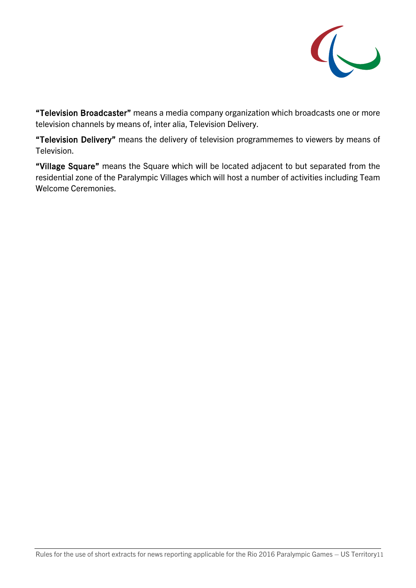

"Television Broadcaster" means a media company organization which broadcasts one or more television channels by means of, inter alia, Television Delivery.

"Television Delivery" means the delivery of television programmemes to viewers by means of Television.

"Village Square" means the Square which will be located adjacent to but separated from the residential zone of the Paralympic Villages which will host a number of activities including Team Welcome Ceremonies.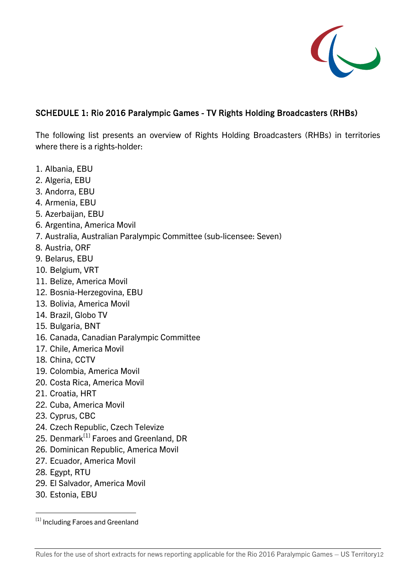

#### SCHEDULE 1: Rio 2016 Paralympic Games - TV Rights Holding Broadcasters (RHBs)

The following list presents an overview of Rights Holding Broadcasters (RHBs) in territories where there is a rights-holder:

- 1. Albania, EBU
- 2. Algeria, EBU
- 3. Andorra, EBU
- 4. Armenia, EBU
- 5. Azerbaijan, EBU
- 6. Argentina, America Movil
- 7. Australia, Australian Paralympic Committee (sub-licensee: Seven)
- 8. Austria, ORF
- 9. Belarus, EBU
- 10. Belgium, VRT
- 11. Belize, America Movil
- 12. Bosnia-Herzegovina, EBU
- 13. Bolivia, America Movil
- 14. Brazil, Globo TV
- 15. Bulgaria, BNT
- 16. Canada, Canadian Paralympic Committee
- 17. Chile, America Movil
- 18. China, CCTV
- 19. Colombia, America Movil
- 20. Costa Rica, America Movil
- 21. Croatia, HRT
- 22. Cuba, America Movil
- 23. Cyprus, CBC
- 24. Czech Republic, Czech Televize
- 25. Denmark<sup>[\[1\]](#page-11-0)</sup> Faroes and Greenland, DR
- 26. Dominican Republic, America Movil
- 27. Ecuador, America Movil
- 28. Egypt, RTU
- 29. El Salvador, America Movil
- 30. Estonia, EBU

<span id="page-11-0"></span><sup>[1]</sup> Including Faroes and Greenland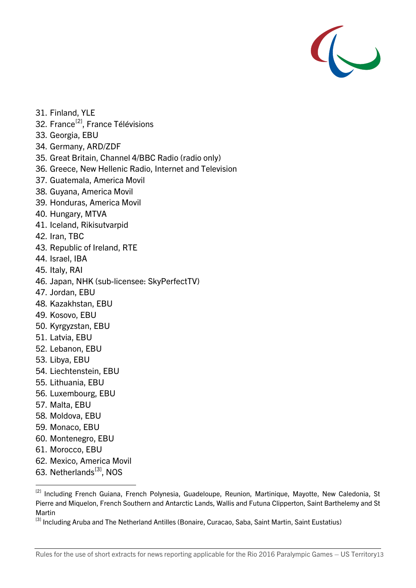

- 31. Finland, YLE
- 32. France<sup>[2]</sup>, France Télévisions
- 33. Georgia, EBU
- 34. Germany, ARD/ZDF
- 35. Great Britain, Channel 4/BBC Radio (radio only)
- 36. Greece, New Hellenic Radio, Internet and Television
- 37. Guatemala, America Movil
- 38. Guyana, America Movil
- 39. Honduras, America Movil
- 40. Hungary, MTVA
- 41. Iceland, Rikisutvarpid
- 42. Iran, TBC
- 43. Republic of Ireland, RTE
- 44. Israel, IBA
- 45. Italy, RAI
- 46. Japan, NHK (sub-licensee: SkyPerfectTV)
- 47. Jordan, EBU
- 48. Kazakhstan, EBU
- 49. Kosovo, EBU
- 50. Kyrgyzstan, EBU
- 51. Latvia, EBU
- 52. Lebanon, EBU
- 53. Libya, EBU
- 54. Liechtenstein, EBU
- 55. Lithuania, EBU
- 56. Luxembourg, EBU
- 57. Malta, EBU
- 58. Moldova, EBU
- 59. Monaco, EBU
- 60. Montenegro, EBU
- 61. Morocco, EBU
- 62. Mexico, America Movil
- 63. Netherlands<sup>[3]</sup>, NOS

<span id="page-12-0"></span><sup>&</sup>lt;sup>[2]</sup> Including French Guiana, French Polynesia, Guadeloupe, Reunion, Martinique, Mayotte, New Caledonia, St Pierre and Miquelon, French Southern and Antarctic Lands, Wallis and Futuna Clipperton, Saint Barthelemy and St Martin

<span id="page-12-1"></span><sup>[3]</sup> Including Aruba and The Netherland Antilles (Bonaire, Curacao, Saba, Saint Martin, Saint Eustatius)